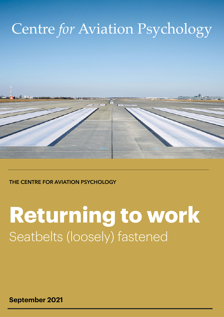## Centre *for* Aviation Psychology



#### **THE CENTRE FOR AVIATION PSYCHOLOGY**

# **Returning to work**  Seatbelts (loosely) fastened

**September 2021**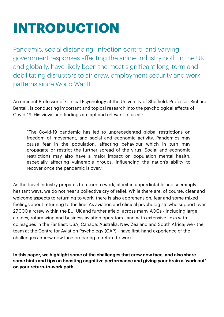## **INTRODUCTION**

Pandemic, social distancing, infection control and varying government responses affecting the airline industry both in the UK and globally, have likely been the most significant long-term and debilitating disruptors to air crew, employment security and work patterns since World War II.

An eminent Professor of Clinical Psychology at the University of Sheffield, Professor Richard Bentall, is conducting important and topical research into the psychological effects of Covid-19. His views and findings are apt and relevant to us all:

"The Covid-19 pandemic has led to unprecedented global restrictions on freedom of movement, and social and economic activity. Pandemics may cause fear in the population, affecting behaviour which in turn may propagate or restrict the further spread of the virus. Social and economic restrictions may also have a major impact on population mental health; especially affecting vulnerable groups, influencing the nation's ability to recover once the pandemic is over."

As the travel industry prepares to return to work, albeit in unpredictable and seemingly hesitant ways, we do not hear a collective cry of relief. While there are, of course, clear and welcome aspects to returning to work, there is also apprehension, fear and some mixed feelings about returning to the line. As aviation and clinical psychologists who support over 27,000 aircrew within the EU, UK and further afield; across many AOCs - including large airlines, rotary wing and business aviation operators - and with extensive links with colleagues in the Far East, USA, Canada, Australia, New Zealand and South Africa; we - the team at the Centre for Aviation Psychology (CAP) - have first-hand experience of the challenges aircrew now face preparing to return to work.

**In this paper, we highlight some of the challenges that crew now face, and also share some hints and tips on boosting cognitive performance and giving your brain a 'work out' on your return-to-work path.**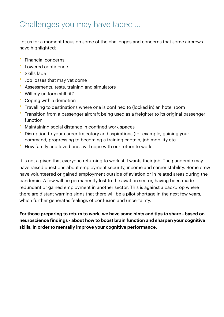### Challenges you may have faced …

Let us for a moment focus on some of the challenges and concerns that some aircrews have highlighted:

- Financial concerns
- Lowered confidence
- Skills fade
- Job losses that may yet come
- Assessments, tests, training and simulators
- Will my uniform still fit?
- Coping with a demotion
- Travelling to destinations where one is confined to (locked in) an hotel room
- Transition from a passenger aircraft being used as a freighter to its original passenger function
- Maintaining social distance in confined work spaces
- Disruption to your career trajectory and aspirations (for example, gaining your command, progressing to becoming a training captain, job mobility etc
- How family and loved ones will cope with our return to work.

It is not a given that everyone returning to work still wants their job. The pandemic may have raised questions about employment security, income and career stability. Some crew have volunteered or gained employment outside of aviation or in related areas during the pandemic. A few will be permanently lost to the aviation sector, having been made redundant or gained employment in another sector. This is against a backdrop where there are distant warning signs that there will be a pilot shortage in the next few years, which further generates feelings of confusion and uncertainty.

**For those preparing to return to work, we have some hints and tips to share - based on neuroscience findings - about how to boost brain function and sharpen your cognitive skills, in order to mentally improve your cognitive performance.**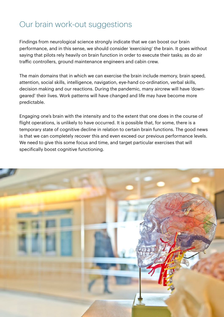### Our brain work-out suggestions

Findings from neurological science strongly indicate that we can boost our brain performance, and in this sense, we should consider 'exercising' the brain. It goes without saying that pilots rely heavily on brain function in order to execute their tasks; as do air traffic controllers, ground maintenance engineers and cabin crew.

The main domains that in which we can exercise the brain include memory, brain speed, attention, social skills, intelligence, navigation, eye-hand co-ordination, verbal skills, decision making and our reactions. During the pandemic, many aircrew will have 'downgeared' their lives. Work patterns will have changed and life may have become more predictable.

Engaging one's brain with the intensity and to the extent that one does in the course of flight operations, is unlikely to have occurred. It is possible that, for some, there is a temporary state of cognitive decline in relation to certain brain functions. The good news is that we can completely recover this and even exceed our previous performance levels. We need to give this some focus and time, and target particular exercises that will specifically boost cognitive functioning.

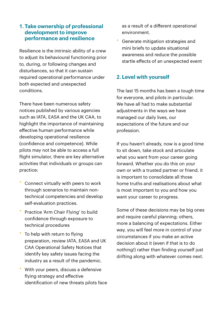#### **1. Take ownership of professional development to improve performance and resilience**

Resilience is the intrinsic ability of a crew to adjust its behavioural functioning prior to, during, or following changes and disturbances, so that it can sustain required operational performance under both expected and unexpected conditions.

There have been numerous safety notices published by various agencies such as IATA, EASA and the UK CAA, to highlight the importance of maintaining effective human performance while developing operational resilience (confidence and competence). While pilots may not be able to access a full flight simulator, there are key alternative activities that individuals or groups can practice:

- Connect virtually with peers to work through scenarios to maintain nontechnical competencies and develop self-evaluation practices.
- Practice 'Arm Chair Flying' to build confidence through exposure to technical procedures
- To help with return to flying preparation, review IATA, EASA and UK CAA Operational Safety Notices that identify key safety issues facing the industry as a result of the pandemic.
- With your peers, discuss a defensive flying strategy and effective identification of new threats pilots face

as a result of a different operational environment.

• Generate mitigation strategies and mini briefs to update situational awareness and reduce the possible startle effects of an unexpected event

#### **2. Level with yourself**

The last 15 months has been a tough time for everyone, and pilots in particular. We have all had to make substantial adjustments in the ways we have managed our daily lives, our expectations of the future and our profession.

If you haven't already, now is a good time to sit down, take stock and articulate what you want from your career going forward. Whether you do this on your own or with a trusted partner or friend, it is important to consolidate all those home truths and realisations about what is most important to you and how you want your career to progress.

Some of these decisions may be big ones and require careful planning; others, more a balancing of expectations. Either way, you will feel more in control of your circumstances if you make an active decision about it (even if that is to do nothing!) rather than finding yourself just drifting along with whatever comes next.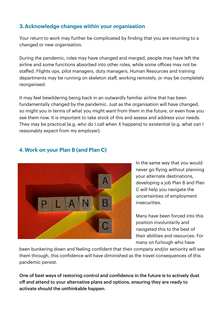#### **3.Acknowledge changes within your organisation**

Your return to work may further be complicated by finding that you are returning to a changed or new organisation.

During the pandemic, roles may have changed and merged, people may have left the airline and some functions absorbed into other roles, while some offices may not be staffed. Flights ops, pilot managers, duty managers, Human Resources and training departments may be running on skeleton staff, working remotely, or may be completely reorganised.

It may feel bewildering being back in an outwardly familiar airline that has been fundamentally changed by the pandemic. Just as the organisation will have changed, so might you in terms of what you might want from them in the future, or even how you see them now. It is important to take stock of this and assess and address your needs. They may be practical (e.g. who do I call when X happens) to existential (e.g. what can I reasonably expect from my employer).



#### **4. Work on your Plan B (and Plan C)**

In the same way that you would never go flying without planning your alternate destinations, developing a job Plan B and Plan C will help you navigate the uncertainties of employment insecurities.

Many have been forced into this position involuntarily and navigated this to the best of their abilities and resources. For many on furlough who have

been bunkering down and feeling confident that their company and/or seniority will see them through, this confidence will have diminished as the travel consequences of this pandemic persist.

One of best ways of restoring control and confidence in the future is to actively dust off and attend to your alternative plans and options, ensuring they are ready to activate should the unthinkable happen.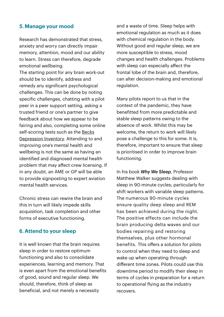#### **5. Manage your mood**

Research has demonstrated that stress, anxiety and worry can directly impair memory, attention, mood and our ability to learn. Stress can therefore, degrade emotional wellbeing.

The starting point for any brain work-out should be to identify, address and remedy any significant psychological challenges. This can be done by noting specific challenges, chatting with a pilot peer in a peer support setting, asking a trusted friend or one's partner to give feedback about how we appear to be fairing and also, completing some online self-scoring tests such as the [Becks](https://www.enhertsccg.nhs.uk/sites/default/files/pathways/Beck)  [Depression Inventory.](https://www.enhertsccg.nhs.uk/sites/default/files/pathways/Beck) Attending to and improving one's mental health and wellbeing is not the same as having an identified and diagnosed mental health problem that may affect crew licensing. If in any doubt, an AME or GP will be able to provide signposting to expert aviation mental health services.

Chronic stress can rewire the brain and this in turn will likely impede skills acquisition, task completion and other forms of executive functioning.

#### **6. Attend to your sleep**

It is well known that the brain requires sleep in order to restore optimum functioning and also to consolidate experiences, learning and memory. That is even apart from the emotional benefits of good, sound and regular sleep. We should, therefore, think of sleep as beneficial, and not merely a necessity

and a waste of time. Sleep helps with emotional regulation as much as it does with chemical regulation in the body. Without good and regular sleep, we are more susceptible to stress, mood changes and health challenges. Problems with sleep can especially affect the frontal lobe of the brain and, therefore, can alter decision-making and emotional regulation.

Many pilots report to us that in the context of the pandemic, they have benefitted from more predictable and stable sleep patterns owing to the absence of work. Whilst this may be welcome, the return to work will likely pose a challenge to this for some. It is, therefore, important to ensure that sleep is prioritised in order to improve brain functioning.

In his book *Why We Sleep*, Professor Matthew Walker suggests dealing with sleep in 90-minute cycles; particularly for shift workers with variable sleep patterns. The numerous 90-minute cycles ensure quality deep sleep and REM has been achieved during the night. The positive effects can include the brain producing delta waves and our bodies repairing and restoring themselves, plus other hormonal benefits. This offers a solution for pilots to control when they need to sleep and wake up when operating through different time zones. Pilots could use this downtime period to modify their sleep in terms of cycles in preparation for a return to operational flying as the industry recovers.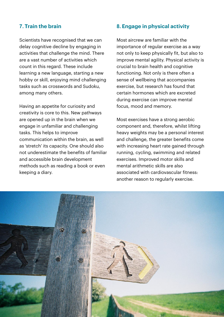#### **7. Train the brain**

Scientists have recognised that we can delay cognitive decline by engaging in activities that challenge the mind. There are a vast number of activities which count in this regard. These include learning a new language, starting a new hobby or skill, enjoying mind challenging tasks such as crosswords and Sudoku, among many others.

Having an appetite for curiosity and creativity is core to this. New pathways are opened up in the brain when we engage in unfamiliar and challenging tasks. This helps to improve communication within the brain, as well as 'stretch' its capacity. One should also not underestimate the benefits of familiar and accessible brain development methods such as reading a book or even keeping a diary.

#### **8. Engage in physical activity**

Most aircrew are familiar with the importance of regular exercise as a way not only to keep physically fit, but also to improve mental agility. Physical activity is crucial to brain health and cognitive functioning. Not only is there often a sense of wellbeing that accompanies exercise, but research has found that certain hormones which are excreted during exercise can improve mental focus, mood and memory.

Most exercises have a strong aerobic component and, therefore, whilst lifting heavy weights may be a personal interest and challenge, the greater benefits come with increasing heart rate gained through running, cycling, swimming and related exercises. Improved motor skills and mental arithmetic skills are also associated with cardiovascular fitness: another reason to regularly exercise.

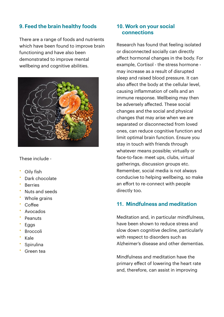#### **9. Feed the brain healthy foods**

There are a range of foods and nutrients which have been found to improve brain functioning and have also been demonstrated to improve mental wellbeing and cognitive abilities.



These include -

- **Oily fish**
- Dark chocolate
- **Berries**
- Nuts and seeds
- Whole grains
- Coffee
- Avocados
- **Peanuts**
- **Eggs**
- **Broccoli**
- Kale
- **Spirulina**
- Green tea

#### **10. Work on your social connections**

Research has found that feeling isolated or disconnected socially can directly affect hormonal changes in the body. For example, Cortisol - the stress hormone may increase as a result of disrupted sleep and raised blood pressure. It can also affect the body at the cellular level, causing inflammation of cells and an immune response. Wellbeing may then be adversely affected. These social changes and the social and physical changes that may arise when we are separated or disconnected from loved ones, can reduce cognitive function and limit optimal brain function. Ensure you stay in touch with friends through whatever means possible; virtually or face-to-face: meet ups, clubs, virtual gatherings, discussion groups etc. Remember, social media is not always conducive to helping wellbeing, so make an effort to re-connect with people directly too.

#### **11. Mindfulness and meditation**

Meditation and, in particular mindfulness, have been shown to reduce stress and slow down cognitive decline, particularly with respect to disorders such as Alzheimer's disease and other dementias.

Mindfulness and meditation have the primary effect of lowering the heart rate and, therefore, can assist in improving